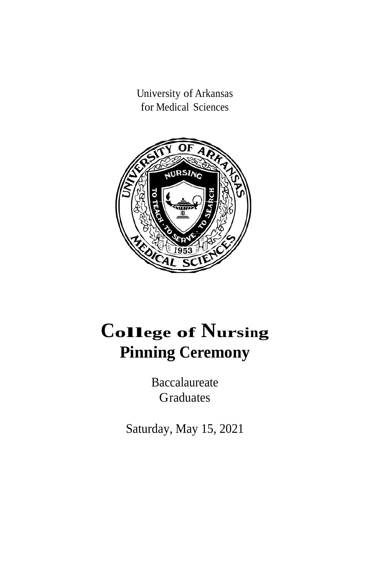University of Arkansas for Medical Sciences



# **<sup>C</sup>ollege of <sup>N</sup>ursing Pinning Ceremony**

Baccalaureate Graduates

Saturday, May 15, 2021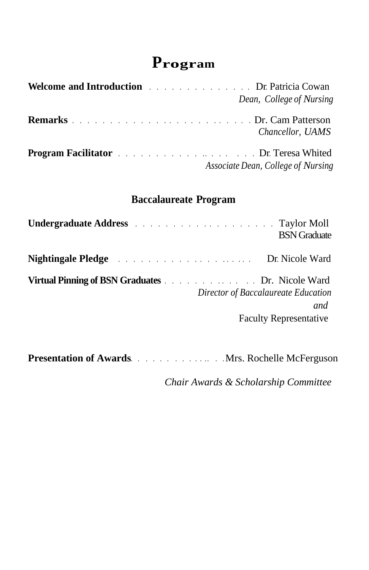## **Program**

| <b>Welcome and Introduction <i>COMPANY COMPANY COMPANY COMPANY COMPANY COMPANY COMPANY COMPANY COMPANY COMPANY COMPANY COMPANY COMPANY COMPANY COMPANY COMPANY C</i></b>                                                                 | Dean, College of Nursing           |
|------------------------------------------------------------------------------------------------------------------------------------------------------------------------------------------------------------------------------------------|------------------------------------|
|                                                                                                                                                                                                                                          | Chancellor, UAMS                   |
| <b>Program Facilitator <i>CONDITY CONDITION CONDITION CONDITION CONDITION CONDITION CONDITION CONDITION CONDITION CONDITION CONDITION CONDITION CONDITION CONDITION CONDITION CONDITION CONDITION CONDITION CONDITION CONDITION </i></b> | Associate Dean, College of Nursing |

### **Baccalaureate Program**

|                                                                                                                                                                           | <b>BSN</b> Graduate                  |
|---------------------------------------------------------------------------------------------------------------------------------------------------------------------------|--------------------------------------|
| <b>Nightingale Pledge</b> Records of the service of the service of the Dr. Nicole Ward                                                                                    |                                      |
| Virtual Pinning of BSN Graduates <b>Example 20</b> Final Pinning of BSN Graduates <b>Example 20</b> Final Pinning of BSN Graduates<br>Director of Baccalaureate Education | and<br><b>Faculty Representative</b> |

**Presentation of Awards**. . . . . . . . . . . . . . . Mrs. Rochelle McFerguson

*Chair Awards & Scholarship Committee*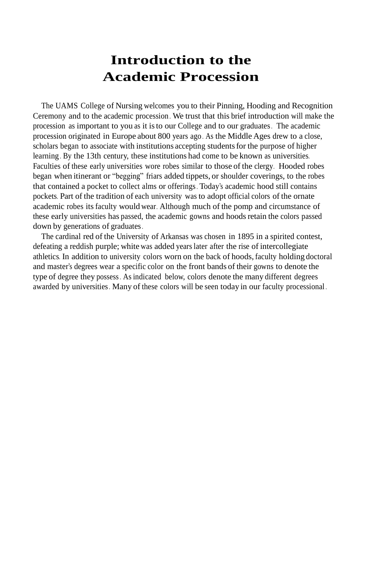## **Introduction to the Academic Procession**

The UAMS College of Nursing welcomes you to their Pinning, Hooding and Recognition Ceremony and to the academic procession . We trust that this brief introduction will make the procession as important to you as it isto our College and to our graduates. The academic procession originated in Europe about 800 years ago . As the Middle Ages drew to a close, scholars began to associate with institutions accepting studentsfor the purpose of higher learning . By the 13th century, these institutions had come to be known as universities. Faculties of these early universities wore robes similar to those of the clergy. Hooded robes began when itinerant or "begging" friars added tippets, or shoulder coverings, to the robes that contained a pocket to collect alms or offerings. Today's academic hood still contains pockets. Part of the tradition of each university was to adopt official colors of the ornate academic robes its faculty would wear. Although much of the pomp and circumstance of these early universities has passed, the academic gowns and hoodsretain the colors passed down by generations of graduates.

The cardinal red of the University of Arkansas was chosen in 1895 in a spirited contest, defeating a reddish purple; white was added years later after the rise of intercollegiate athletics. In addition to university colors worn on the back of hoods, faculty holding doctoral and master's degrees wear a specific color on the front bands of their gowns to denote the type of degree they possess. As indicated below, colors denote the many different degrees awarded by universities. Many of these colors will be seen today in our faculty processional .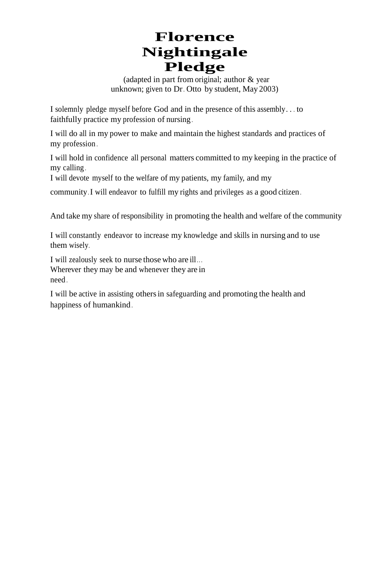## **Florence Nightingale Pledge**

(adapted in part from original; author & year unknown; given to Dr. Otto by student, May 2003)

I solemnly pledge myself before God and in the presence of this assembly . . . to faithfully practice my profession of nursing .

I will do all in my power to make and maintain the highest standards and practices of my profession .

I will hold in confidence all personal matters committed to my keeping in the practice of my calling .

I will devote myself to the welfare of my patients, my family, and my

community. I will endeavor to fulfill my rights and privileges as a good citizen .

And take my share of responsibility in promoting the health and welfare of the community

I will constantly endeavor to increase my knowledge and skills in nursing and to use them wisely.

I will zealously seek to nurse those who are ill... Wherever they may be and whenever they are in need .

I will be active in assisting othersin safeguarding and promoting the health and happiness of humankind .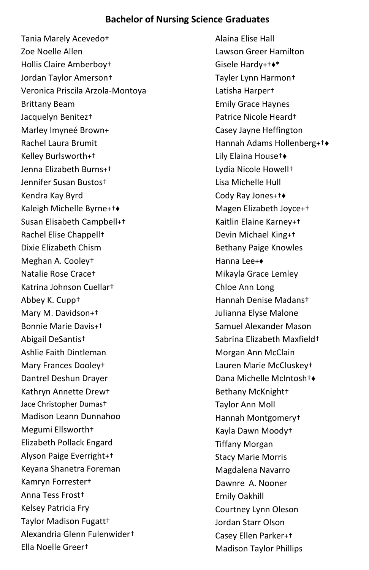### **Bachelor of Nursing Science Graduates**

Tania Marely Acevedo† Zoe Noelle Allen Hollis Claire Amberboy† Jordan Taylor Amerson† Veronica Priscila Arzola-Montoya Brittany Beam Jacquelyn Benitez† Marley Imyneé Brown+ Rachel Laura Brumit Kelley Burlsworth+† Jenna Elizabeth Burns+† Jennifer Susan Bustos† Kendra Kay Byrd Kaleigh Michelle Byrne+†♦ Susan Elisabeth Campbell+† Rachel Elise Chappell† Dixie Elizabeth Chism Meghan A. Cooley† Natalie Rose Crace† Katrina Johnson Cuellar† Abbey K. Cupp† Mary M. Davidson+† Bonnie Marie Davis+† Abigail DeSantis† Ashlie Faith Dintleman Mary Frances Dooley† Dantrel Deshun Drayer Kathryn Annette Drew† Jace Christopher Dumas† Madison Leann Dunnahoo Megumi Ellsworth† Elizabeth Pollack Engard Alyson Paige Everright+† Keyana Shanetra Foreman Kamryn Forrester† Anna Tess Frost† Kelsey Patricia Fry Taylor Madison Fugatt† Alexandria Glenn Fulenwider† Ella Noelle Greer†

Alaina Elise Hall Lawson Greer Hamilton Gisele Hardy+†♦\* Tayler Lynn Harmon† Latisha Harper† Emily Grace Haynes Patrice Nicole Heard† Casey Jayne Heffington Hannah Adams Hollenberg+†♦ Lily Elaina House†♦ Lydia Nicole Howell† Lisa Michelle Hull Cody Ray Jones+†♦ Magen Elizabeth Joyce+† Kaitlin Elaine Karney+† Devin Michael King+† Bethany Paige Knowles Hanna Lee+♦ Mikayla Grace Lemley Chloe Ann Long Hannah Denise Madans† Julianna Elyse Malone Samuel Alexander Mason Sabrina Elizabeth Maxfield† Morgan Ann McClain Lauren Marie McCluskey† Dana Michelle McIntosh†♦ Bethany McKnight† Taylor Ann Moll Hannah Montgomery† Kayla Dawn Moody† Tiffany Morgan Stacy Marie Morris Magdalena Navarro Dawnre A. Nooner Emily Oakhill Courtney Lynn Oleson Jordan Starr Olson Casey Ellen Parker+† Madison Taylor Phillips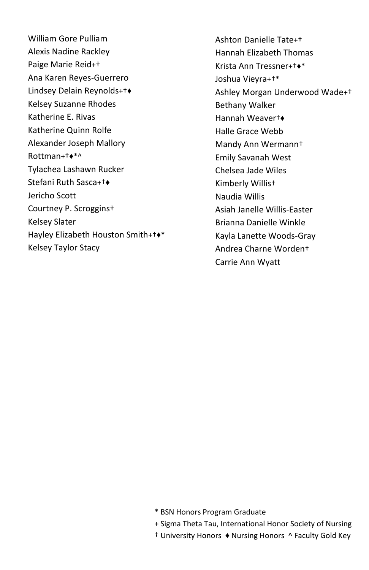William Gore Pulliam Alexis Nadine Rackley Paige Marie Reid+† Ana Karen Reyes-Guerrero Lindsey Delain Reynolds+†♦ Kelsey Suzanne Rhodes Katherine E. Rivas Katherine Quinn Rolfe Alexander Joseph Mallory Rottman+†♦\*^ Tylachea Lashawn Rucker Stefani Ruth Sasca+†♦ Jericho Scott Courtney P. Scroggins† Kelsey Slater Hayley Elizabeth Houston Smith+†♦\* Kelsey Taylor Stacy

Ashton Danielle Tate+† Hannah Elizabeth Thomas Krista Ann Tressner+†♦\* Joshua Vieyra+†\* Ashley Morgan Underwood Wade+† Bethany Walker Hannah Weaver†♦ Halle Grace Webb Mandy Ann Wermann† Emily Savanah West Chelsea Jade Wiles Kimberly Willis† Naudia Willis Asiah Janelle Willis-Easter Brianna Danielle Winkle Kayla Lanette Woods-Gray Andrea Charne Worden† Carrie Ann Wyatt

- \* BSN Honors Program Graduate
- + Sigma Theta Tau, International Honor Society of Nursing
- † University Honors ♦ Nursing Honors ^ Faculty Gold Key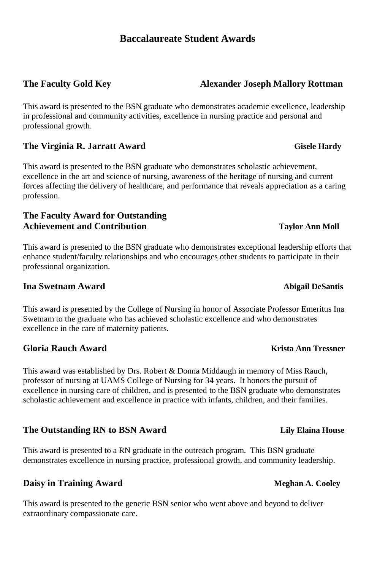### **Baccalaureate Student Awards**

This award is presented to the BSN graduate who demonstrates academic excellence, leadership in professional and community activities, excellence in nursing practice and personal and professional growth.

### **The Virginia R. Jarratt Award Gisele Hardy**

This award is presented to the BSN graduate who demonstrates scholastic achievement, excellence in the art and science of nursing, awareness of the heritage of nursing and current forces affecting the delivery of healthcare, and performance that reveals appreciation as a caring profession.

### **The Faculty Award for Outstanding Achievement and Contribution Taylor Ann Moll**

This award is presented to the BSN graduate who demonstrates exceptional leadership efforts that enhance student/faculty relationships and who encourages other students to participate in their professional organization.

### **Ina Swetnam Award Abigail DeSantis Abigail DeSantis Abigail DeSantis**

This award is presented by the College of Nursing in honor of Associate Professor Emeritus Ina Swetnam to the graduate who has achieved scholastic excellence and who demonstrates excellence in the care of maternity patients.

### **Gloria Rauch Award Krista Ann Tressner**

This award was established by Drs. Robert & Donna Middaugh in memory of Miss Rauch, professor of nursing at UAMS College of Nursing for 34 years. It honors the pursuit of excellence in nursing care of children, and is presented to the BSN graduate who demonstrates scholastic achievement and excellence in practice with infants, children, and their families.

### **The Outstanding RN to BSN Award Lily Elaina House**

This award is presented to a RN graduate in the outreach program. This BSN graduate demonstrates excellence in nursing practice, professional growth, and community leadership.

### **Daisy in Training Award Meghan A. Cooley**

This award is presented to the generic BSN senior who went above and beyond to deliver extraordinary compassionate care.

### **The Faculty Gold Key Alexander Joseph Mallory Rottman**